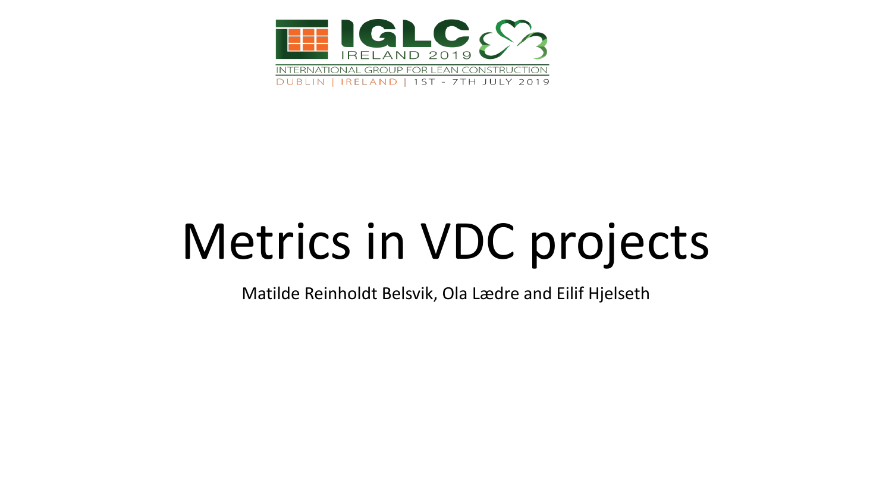

# Metrics in VDC projects

Matilde Reinholdt Belsvik, Ola Lædre and Eilif Hjelseth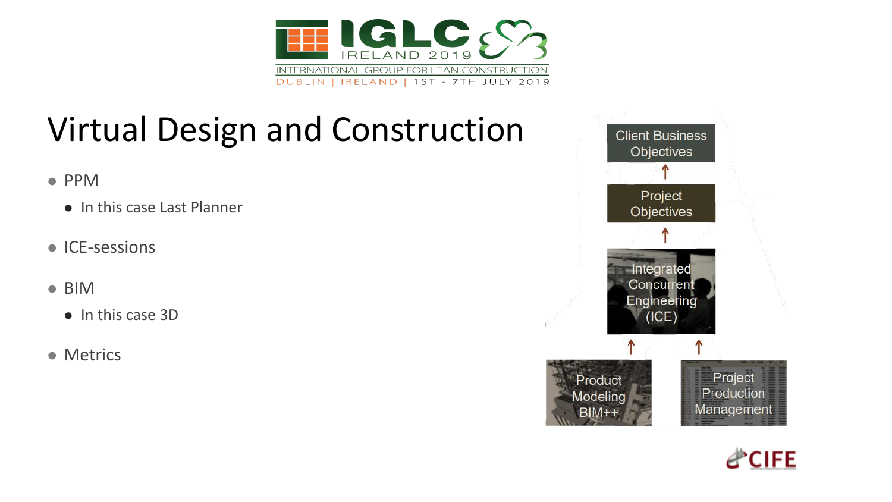

# Virtual Design and Construction

- ⚫ PPM
	- ⚫ In this case Last Planner
- ⚫ ICE-sessions
- BIM
	- ⚫ In this case 3D
- ⚫ Metrics



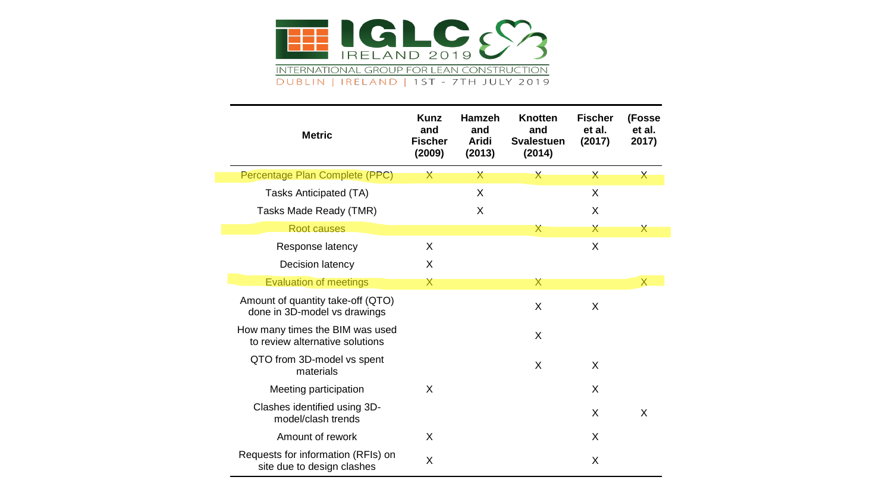

|  | <b>Metric</b>                                                      | <b>Kunz</b><br>and<br><b>Fischer</b><br>(2009) | <b>Hamzeh</b><br>and<br>Aridi<br>(2013) | <b>Knotten</b><br>and<br><b>Svalestuen</b><br>(2014) | <b>Fischer</b><br>et al.<br>(2017) | (Fosse<br>et al.<br>2017) |
|--|--------------------------------------------------------------------|------------------------------------------------|-----------------------------------------|------------------------------------------------------|------------------------------------|---------------------------|
|  | Percentage Plan Complete (PPC)                                     | $\mathsf{X}$                                   | $\mathsf{X}$                            | $\mathsf{X}$                                         | $\mathsf{X}$                       | $\mathsf{X}$              |
|  | Tasks Anticipated (TA)                                             |                                                | X                                       |                                                      | X                                  |                           |
|  | Tasks Made Ready (TMR)                                             |                                                | X                                       |                                                      | X                                  |                           |
|  | Root causes                                                        |                                                |                                         | Х                                                    | X                                  | $\bm{\mathsf{X}}$         |
|  | Response latency                                                   | X                                              |                                         |                                                      | X                                  |                           |
|  | Decision latency                                                   | X                                              |                                         |                                                      |                                    |                           |
|  | <b>Evaluation of meetings</b>                                      | X                                              |                                         | Χ                                                    |                                    | $\sf X$                   |
|  | Amount of quantity take-off (QTO)<br>done in 3D-model vs drawings  |                                                |                                         | X                                                    | X                                  |                           |
|  | How many times the BIM was used<br>to review alternative solutions |                                                |                                         | X                                                    |                                    |                           |
|  | QTO from 3D-model vs spent<br>materials                            |                                                |                                         | X                                                    | X                                  |                           |
|  | Meeting participation                                              | X                                              |                                         |                                                      | X                                  |                           |
|  | Clashes identified using 3D-<br>model/clash trends                 |                                                |                                         |                                                      | X                                  | X                         |
|  | Amount of rework                                                   | X                                              |                                         |                                                      | X                                  |                           |
|  | Requests for information (RFIs) on<br>site due to design clashes   | X                                              |                                         |                                                      | X                                  |                           |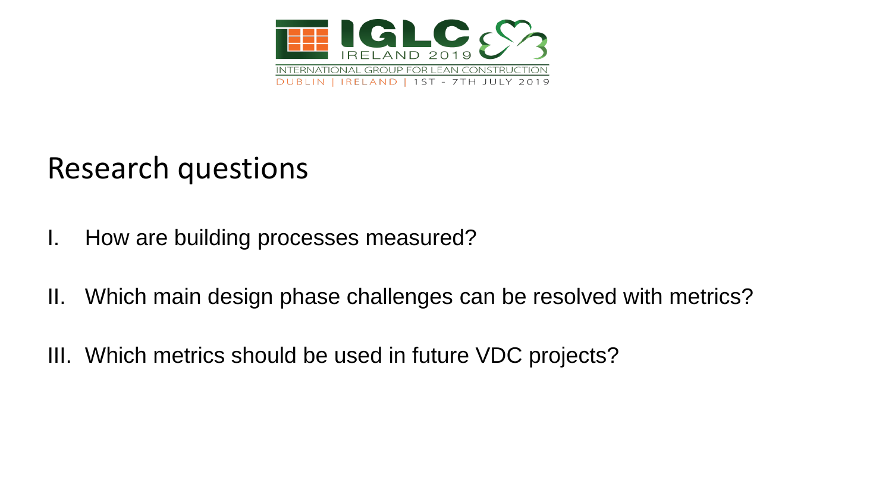

#### Research questions

- I. How are building processes measured?
- II. Which main design phase challenges can be resolved with metrics?
- III. Which metrics should be used in future VDC projects?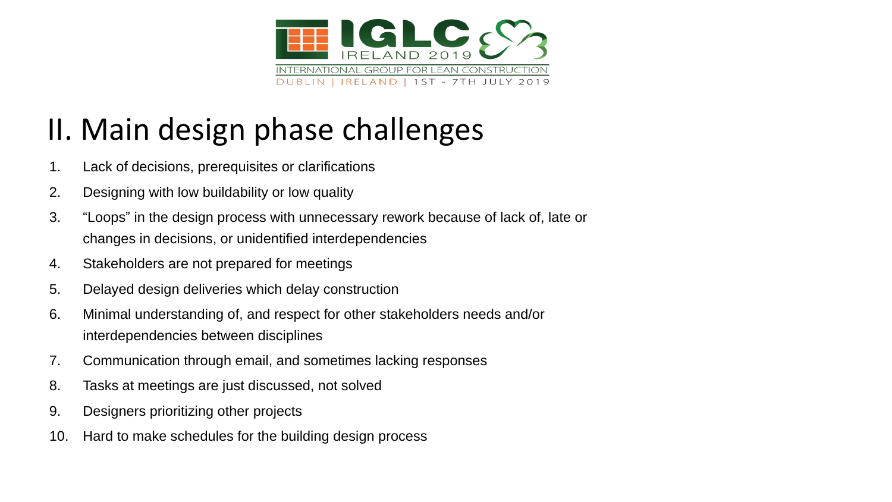

## II. Main design phase challenges

- 1. Lack of decisions, prerequisites or clarifications
- 2. Designing with low buildability or low quality
- 3. "Loops" in the design process with unnecessary rework because of lack of, late or changes in decisions, or unidentified interdependencies
- 4. Stakeholders are not prepared for meetings
- 5. Delayed design deliveries which delay construction
- 6. Minimal understanding of, and respect for other stakeholders needs and/or interdependencies between disciplines
- 7. Communication through email, and sometimes lacking responses
- 8. Tasks at meetings are just discussed, not solved
- 9. Designers prioritizing other projects
- 10. Hard to make schedules for the building design process